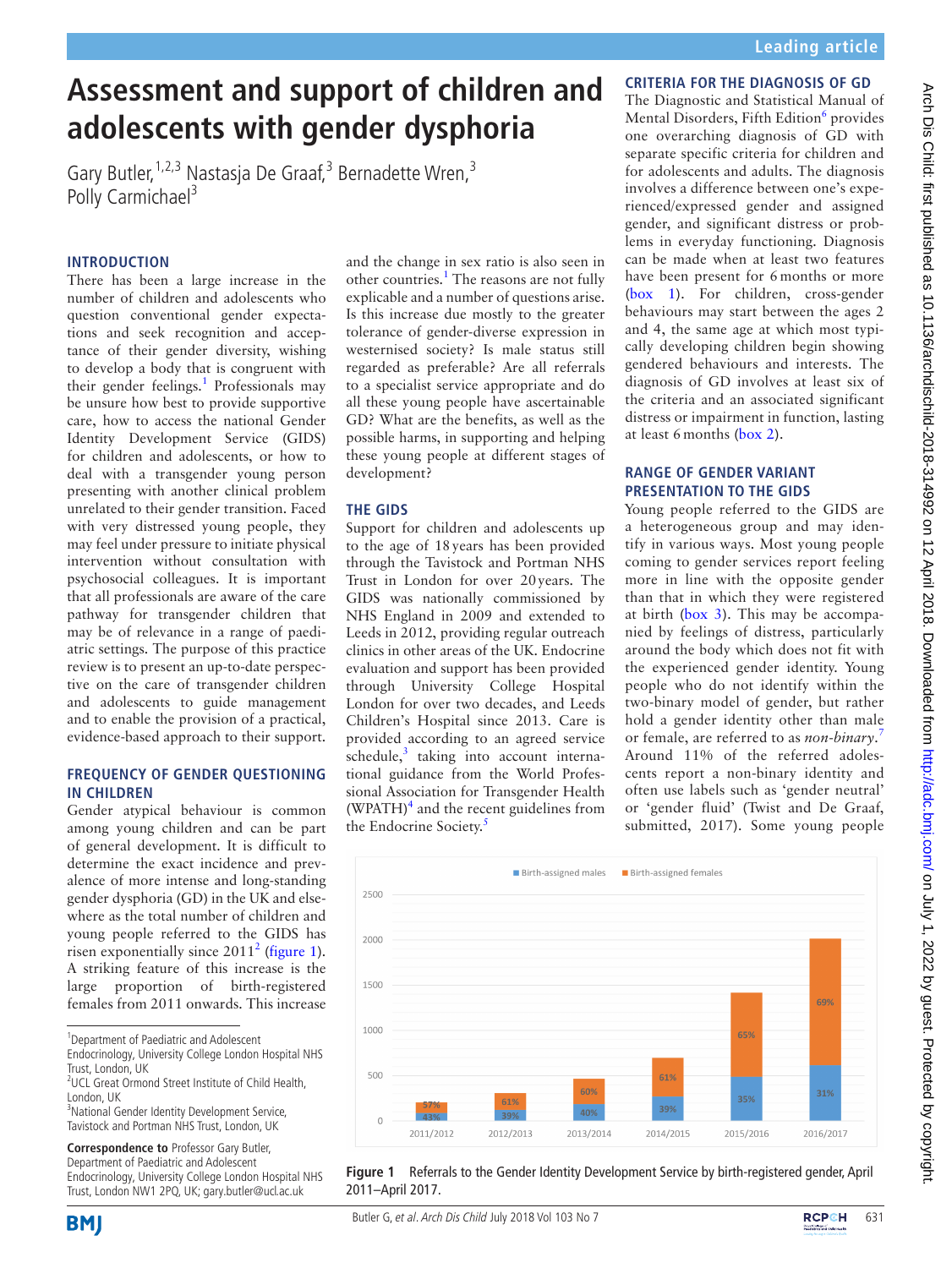# **Assessment and support of children and adolescents with gender dysphoria**

Gary Butler, <sup>1,2,3</sup> Nastasja De Graaf,<sup>3</sup> Bernadette Wren,<sup>3</sup> Polly Carmichael<sup>3</sup>

## **Introduction**

There has been a large increase in the number of children and adolescents who question conventional gender expectations and seek recognition and acceptance of their gender diversity, wishing to develop a body that is congruent with their gender feelings.<sup>[1](#page-5-0)</sup> Professionals may be unsure how best to provide supportive care, how to access the national Gender Identity Development Service (GIDS) for children and adolescents, or how to deal with a transgender young person presenting with another clinical problem unrelated to their gender transition. Faced with very distressed young people, they may feel under pressure to initiate physical intervention without consultation with psychosocial colleagues. It is important that all professionals are aware of the care pathway for transgender children that may be of relevance in a range of paediatric settings. The purpose of this practice review is to present an up-to-date perspective on the care of transgender children and adolescents to guide management and to enable the provision of a practical, evidence-based approach to their support.

## **Frequency of gender questioning in children**

Gender atypical behaviour is common among young children and can be part of general development. It is difficult to determine the exact incidence and prevalence of more intense and long-standing gender dysphoria (GD) in the UK and elsewhere as the total number of children and young people referred to the GIDS has risen exponentially since  $2011^2$  $2011^2$  [\(figure](#page-0-0) 1). A striking feature of this increase is the large proportion of birth-registered females from 2011 onwards. This increase

1 Department of Paediatric and Adolescent Endocrinology, University College London Hospital NHS

Trust, London, UK

<sup>2</sup>UCL Great Ormond Street Institute of Child Health, London, UK

<sup>3</sup>National Gender Identity Development Service, Tavistock and Portman NHS Trust, London, UK

**Correspondence to** Professor Gary Butler, Department of Paediatric and Adolescent Endocrinology, University College London Hospital NHS Trust, London NW1 2PQ, UK; gary.butler@ucl.ac.uk

and the change in sex ratio is also seen in other countries.<sup>[1](#page-5-0)</sup> The reasons are not fully explicable and a number of questions arise. Is this increase due mostly to the greater tolerance of gender-diverse expression in westernised society? Is male status still regarded as preferable? Are all referrals to a specialist service appropriate and do all these young people have ascertainable GD? What are the benefits, as well as the possible harms, in supporting and helping these young people at different stages of development?

## **The GIDS**

Support for children and adolescents up to the age of 18years has been provided through the Tavistock and Portman NHS Trust in London for over 20years. The GIDS was nationally commissioned by NHS England in 2009 and extended to Leeds in 2012, providing regular outreach clinics in other areas of the UK. Endocrine evaluation and support has been provided through University College Hospital London for over two decades, and Leeds Children's Hospital since 2013. Care is provided according to an agreed service  $s$ chedule, $3$  taking into account international guidance from the World Professional Association for Transgender Health  $(WPATH)^4$  and the recent guidelines from the Endocrine Society.<sup>5</sup>

## **Criteria for the diagnosis of GD**

The Diagnostic and Statistical Manual of Mental Disorders, Fifth Edition<sup>[6](#page-5-5)</sup> provides one overarching diagnosis of GD with separate specific criteria for children and for adolescents and adults. The diagnosis involves a difference between one's experienced/expressed gender and assigned gender, and significant distress or problems in everyday functioning. Diagnosis can be made when at least two features have been present for 6 months or more [\(box](#page-1-0) 1). For children, cross-gender behaviours may start between the ages 2 and 4, the same age at which most typically developing children begin showing gendered behaviours and interests. The diagnosis of GD involves at least six of the criteria and an associated significant distress or impairment in function, lasting at least 6 months [\(box](#page-1-1) 2).

## **Range of gender variant presentation to the GIDS**

Young people referred to the GIDS are a heterogeneous group and may identify in various ways. Most young people coming to gender services report feeling more in line with the opposite gender than that in which they were registered at birth [\(box](#page-1-2) 3). This may be accompanied by feelings of distress, particularly around the body which does not fit with the experienced gender identity. Young people who do not identify within the two-binary model of gender, but rather hold a gender identity other than male or female, are referred to as *non-binary*. [7](#page-5-6) Around 11% of the referred adolescents report a non-binary identity and often use labels such as 'gender neutral' or 'gender fluid' (Twist and De Graaf, submitted, 2017). Some young people



<span id="page-0-0"></span>

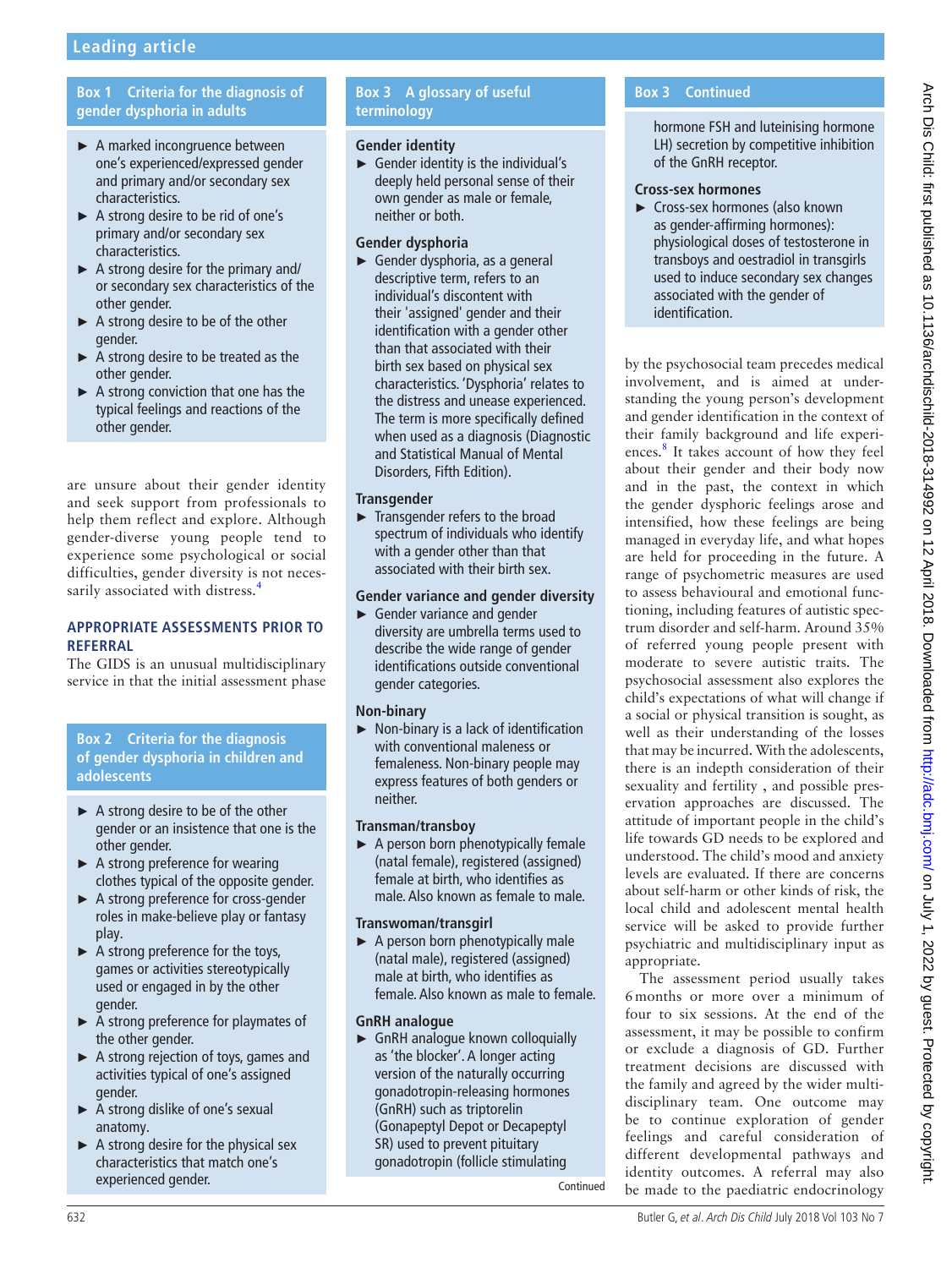## **Box 1 Criteria for the diagnosis of gender dysphoria in adults**

- <span id="page-1-0"></span>► A marked incongruence between one's experienced/expressed gender and primary and/or secondary sex characteristics.
- ► A strong desire to be rid of one's primary and/or secondary sex characteristics.
- ► A strong desire for the primary and/ or secondary sex characteristics of the other gender.
- ► A strong desire to be of the other gender.
- ► A strong desire to be treated as the other gender.
- $\blacktriangleright$  A strong conviction that one has the typical feelings and reactions of the other gender.

are unsure about their gender identity and seek support from professionals to help them reflect and explore. Although gender-diverse young people tend to experience some psychological or social difficulties, gender diversity is not neces-sarily associated with distress.<sup>[4](#page-5-3)</sup>

## **Appropriate assessments prior to referral**

The GIDS is an unusual multidisciplinary service in that the initial assessment phase

**Box 2 Criteria for the diagnosis of gender dysphoria in children and adolescents**

- <span id="page-1-1"></span>► A strong desire to be of the other gender or an insistence that one is the other gender.
- ► A strong preference for wearing clothes typical of the opposite gender.
- ► A strong preference for cross-gender roles in make-believe play or fantasy play.
- ► A strong preference for the toys, games or activities stereotypically used or engaged in by the other gender.
- ► A strong preference for playmates of the other gender.
- ► A strong rejection of toys, games and activities typical of one's assigned gender.
- ► A strong dislike of one's sexual anatomy.
- $\blacktriangleright$  A strong desire for the physical sex characteristics that match one's experienced gender.

## **Box 3 A glossary of useful terminology**

## <span id="page-1-2"></span>**Gender identity**

 $\blacktriangleright$  Gender identity is the individual's deeply held personal sense of their own gender as male or female, neither or both.

## **Gender dysphoria**

 $\blacktriangleright$  Gender dysphoria, as a general descriptive term, refers to an individual's discontent with their 'assigned' gender and their identification with a gender other than that associated with their birth sex based on physical sex characteristics. 'Dysphoria' relates to the distress and unease experienced. The term is more specifically defined when used as a diagnosis (Diagnostic and Statistical Manual of Mental Disorders, Fifth Edition).

## **Transgender**

► Transgender refers to the broad spectrum of individuals who identify with a gender other than that associated with their birth sex.

## **Gender variance and gender diversity**

► Gender variance and gender diversity are umbrella terms used to describe the wide range of gender identifications outside conventional gender categories.

## **Non-binary**

► Non-binary is a lack of identification with conventional maleness or femaleness. Non-binary people may express features of both genders or neither.

## **Transman/transboy**

► A person born phenotypically female (natal female), registered (assigned) female at birth, who identifies as male. Also known as female to male.

## **Transwoman/transgirl**

► A person born phenotypically male (natal male), registered (assigned) male at birth, who identifies as female. Also known as male to female.

## **GnRH analogue**

► GnRH analogue known colloquially as 'the blocker'. A longer acting version of the naturally occurring gonadotropin-releasing hormones (GnRH) such as triptorelin (Gonapeptyl Depot or Decapeptyl SR) used to prevent pituitary gonadotropin (follicle stimulating

Continued

# **Box 3 Continued**

hormone FSH and luteinising hormone LH) secretion by competitive inhibition of the GnRH receptor.

## **Cross-sex hormones**

► Cross-sex hormones (also known as gender-affirming hormones): physiological doses of testosterone in transboys and oestradiol in transgirls used to induce secondary sex changes associated with the gender of identification.

by the psychosocial team precedes medical involvement, and is aimed at understanding the young person's development and gender identification in the context of their family background and life experiences.<sup>8</sup> It takes account of how they feel about their gender and their body now and in the past, the context in which the gender dysphoric feelings arose and intensified, how these feelings are being managed in everyday life, and what hopes are held for proceeding in the future. A range of psychometric measures are used to assess behavioural and emotional functioning, including features of autistic spectrum disorder and self-harm. Around 35% of referred young people present with moderate to severe autistic traits. The psychosocial assessment also explores the child's expectations of what will change if a social or physical transition is sought, as well as their understanding of the losses that may be incurred. With the adolescents, there is an indepth consideration of their sexuality and fertility , and possible preservation approaches are discussed. The attitude of important people in the child's life towards GD needs to be explored and understood. The child's mood and anxiety levels are evaluated. If there are concerns about self-harm or other kinds of risk, the local child and adolescent mental health service will be asked to provide further psychiatric and multidisciplinary input as appropriate.

The assessment period usually takes 6 months or more over a minimum of four to six sessions. At the end of the assessment, it may be possible to confirm or exclude a diagnosis of GD. Further treatment decisions are discussed with the family and agreed by the wider multidisciplinary team. One outcome may be to continue exploration of gender feelings and careful consideration of different developmental pathways and identity outcomes. A referral may also be made to the paediatric endocrinology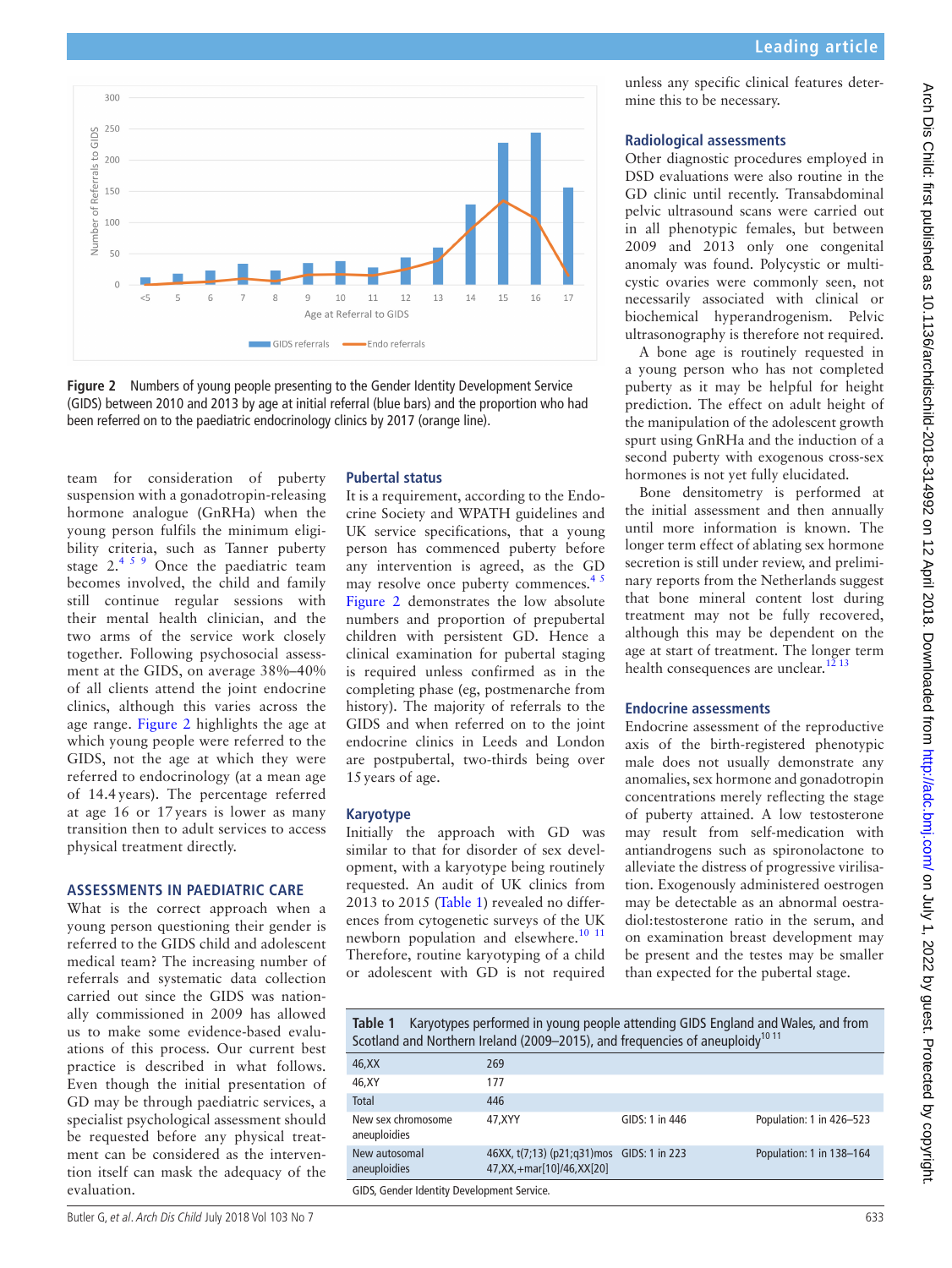

<span id="page-2-0"></span>**Figure 2** Numbers of young people presenting to the Gender Identity Development Service (GIDS) between 2010 and 2013 by age at initial referral (blue bars) and the proportion who had been referred on to the paediatric endocrinology clinics by 2017 (orange line).

team for consideration of puberty suspension with a gonadotropin-releasing hormone analogue (GnRHa) when the young person fulfils the minimum eligibility criteria, such as Tanner puberty stage  $2^{4.5.9}$  Once the paediatric team becomes involved, the child and family still continue regular sessions with their mental health clinician, and the two arms of the service work closely together. Following psychosocial assessment at the GIDS, on average 38%–40% of all clients attend the joint endocrine clinics, although this varies across the age range. [Figure](#page-2-0) 2 highlights the age at which young people were referred to the GIDS, not the age at which they were referred to endocrinology (at a mean age of 14.4 years). The percentage referred at age 16 or 17 years is lower as many transition then to adult services to access physical treatment directly.

#### **Assessments in paediatric care**

What is the correct approach when a young person questioning their gender is referred to the GIDS child and adolescent medical team? The increasing number of referrals and systematic data collection carried out since the GIDS was nationally commissioned in 2009 has allowed us to make some evidence-based evaluations of this process. Our current best practice is described in what follows. Even though the initial presentation of GD may be through paediatric services, a specialist psychological assessment should be requested before any physical treatment can be considered as the intervention itself can mask the adequacy of the evaluation.

#### **Pubertal status**

It is a requirement, according to the Endocrine Society and WPATH guidelines and UK service specifications, that a young person has commenced puberty before any intervention is agreed, as the GD may resolve once puberty commences. $4<sup>5</sup>$ [Figure](#page-2-0) 2 demonstrates the low absolute numbers and proportion of prepubertal children with persistent GD. Hence a clinical examination for pubertal staging is required unless confirmed as in the completing phase (eg, postmenarche from history). The majority of referrals to the GIDS and when referred on to the joint endocrine clinics in Leeds and London are postpubertal, two-thirds being over 15years of age.

#### **Karyotype**

Initially the approach with GD was similar to that for disorder of sex development, with a karyotype being routinely requested. An audit of UK clinics from 2013 to 2015 ([Table](#page-2-1) 1) revealed no differences from cytogenetic surveys of the UK newborn population and elsewhere.<sup>10 11</sup> Therefore, routine karyotyping of a child or adolescent with GD is not required unless any specific clinical features determine this to be necessary.

#### **Radiological assessments**

Other diagnostic procedures employed in DSD evaluations were also routine in the GD clinic until recently. Transabdominal pelvic ultrasound scans were carried out in all phenotypic females, but between 2009 and 2013 only one congenital anomaly was found. Polycystic or multicystic ovaries were commonly seen, not necessarily associated with clinical or biochemical hyperandrogenism. Pelvic ultrasonography is therefore not required.

A bone age is routinely requested in a young person who has not completed puberty as it may be helpful for height prediction. The effect on adult height of the manipulation of the adolescent growth spurt using GnRHa and the induction of a second puberty with exogenous cross-sex hormones is not yet fully elucidated.

Bone densitometry is performed at the initial assessment and then annually until more information is known. The longer term effect of ablating sex hormone secretion is still under review, and preliminary reports from the Netherlands suggest that bone mineral content lost during treatment may not be fully recovered, although this may be dependent on the age at start of treatment. The longer term health consequences are unclear.<sup>[12 13](#page-5-9)</sup>

#### **Endocrine assessments**

Endocrine assessment of the reproductive axis of the birth-registered phenotypic male does not usually demonstrate any anomalies, sex hormone and gonadotropin concentrations merely reflecting the stage of puberty attained. A low testosterone may result from self-medication with antiandrogens such as spironolactone to alleviate the distress of progressive virilisation. Exogenously administered oestrogen may be detectable as an abnormal oestradiol:testosterone ratio in the serum, and on examination breast development may be present and the testes may be smaller than expected for the pubertal stage.

<span id="page-2-1"></span>**Table 1** Karyotypes performed in young people attending GIDS England and Wales, and from Scotland and Northern Ireland (2009–2015), and frequencies of aneuploidy<sup>10 11</sup>

| 46, XX                                     | 269                                                                       |                |                          |
|--------------------------------------------|---------------------------------------------------------------------------|----------------|--------------------------|
| 46, XY                                     | 177                                                                       |                |                          |
| Total                                      | 446                                                                       |                |                          |
| New sex chromosome<br>aneuploidies         | 47.XYY                                                                    | GIDS: 1 in 446 | Population: 1 in 426-523 |
| New autosomal<br>aneuploidies              | 46XX, t(7;13) (p21;q31)mos GIDS: 1 in 223<br>47, XX, + mar[10]/46, XX[20] |                | Population: 1 in 138-164 |
| GIDS, Gender Identity Development Service. |                                                                           |                |                          |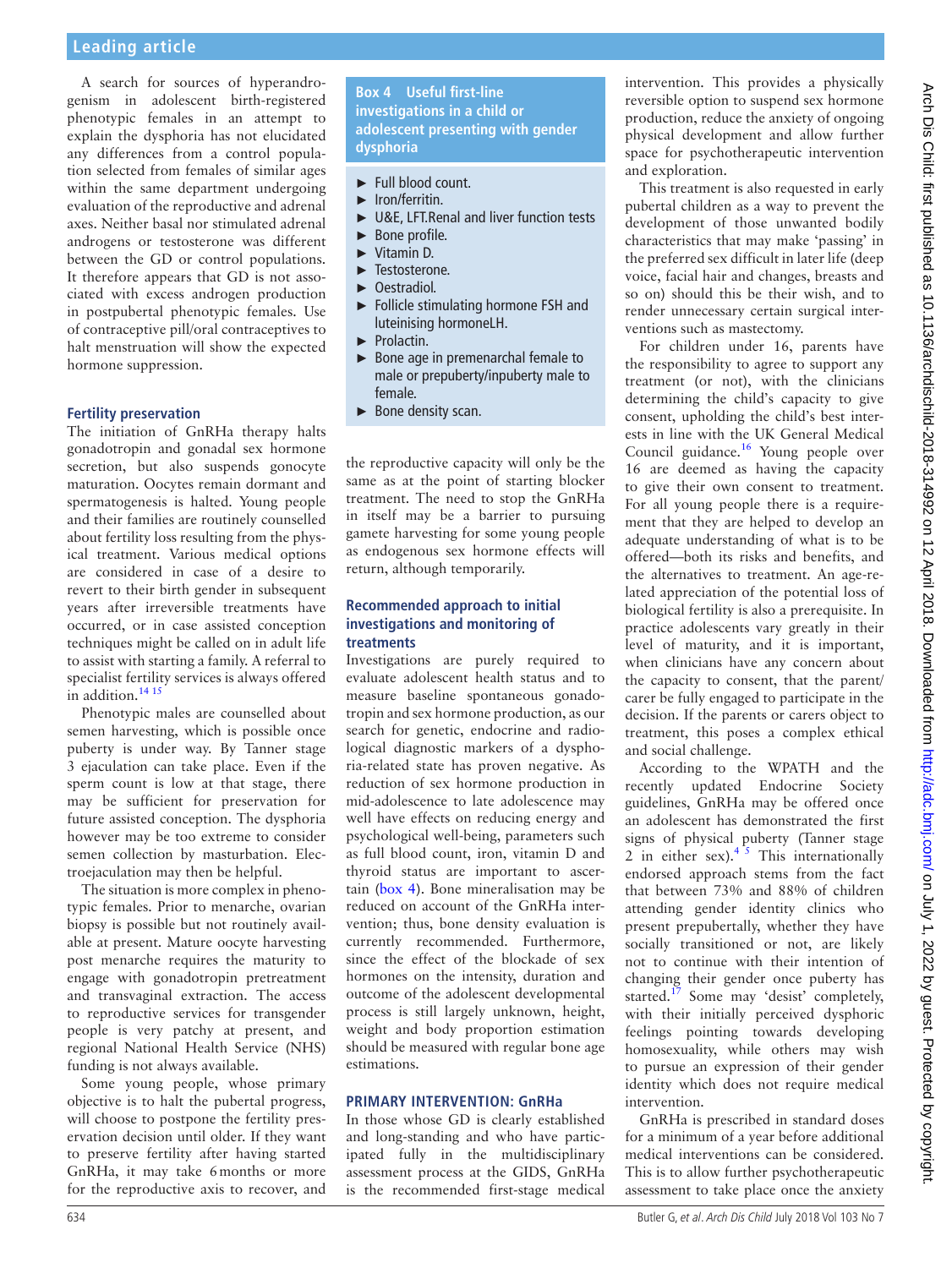## **Leading article**

A search for sources of hyperandrogenism in adolescent birth-registered phenotypic females in an attempt to explain the dysphoria has not elucidated any differences from a control population selected from females of similar ages within the same department undergoing evaluation of the reproductive and adrenal axes. Neither basal nor stimulated adrenal androgens or testosterone was different between the GD or control populations. It therefore appears that GD is not associated with excess androgen production in postpubertal phenotypic females. Use of contraceptive pill/oral contraceptives to halt menstruation will show the expected hormone suppression.

#### **Fertility preservation**

The initiation of GnRHa therapy halts gonadotropin and gonadal sex hormone secretion, but also suspends gonocyte maturation. Oocytes remain dormant and spermatogenesis is halted. Young people and their families are routinely counselled about fertility loss resulting from the physical treatment. Various medical options are considered in case of a desire to revert to their birth gender in subsequent years after irreversible treatments have occurred, or in case assisted conception techniques might be called on in adult life to assist with starting a family. A referral to specialist fertility services is always offered in addition.<sup>[14 15](#page-5-10)</sup>

Phenotypic males are counselled about semen harvesting, which is possible once puberty is under way. By Tanner stage 3 ejaculation can take place. Even if the sperm count is low at that stage, there may be sufficient for preservation for future assisted conception. The dysphoria however may be too extreme to consider semen collection by masturbation. Electroejaculation may then be helpful.

The situation is more complex in phenotypic females. Prior to menarche, ovarian biopsy is possible but not routinely available at present. Mature oocyte harvesting post menarche requires the maturity to engage with gonadotropin pretreatment and transvaginal extraction. The access to reproductive services for transgender people is very patchy at present, and regional National Health Service (NHS) funding is not always available.

Some young people, whose primary objective is to halt the pubertal progress, will choose to postpone the fertility preservation decision until older. If they want to preserve fertility after having started GnRHa, it may take 6months or more for the reproductive axis to recover, and

**Box 4 Useful first-line investigations in a child or adolescent presenting with gender dysphoria**

- <span id="page-3-0"></span>► Full blood count.
- ► Iron/ferritin.
- ► U&E, LFT.Renal and liver function tests
- ► Bone profile.
- ► Vitamin D.
- ► Testosterone.
- ► Oestradiol.
- ► Follicle stimulating hormone FSH and luteinising hormoneLH.
- ► Prolactin.
- ► Bone age in premenarchal female to male or prepuberty/inpuberty male to female.
- ► Bone density scan.

the reproductive capacity will only be the same as at the point of starting blocker treatment. The need to stop the GnRHa in itself may be a barrier to pursuing gamete harvesting for some young people as endogenous sex hormone effects will return, although temporarily.

#### **Recommended approach to initial investigations and monitoring of treatments**

Investigations are purely required to evaluate adolescent health status and to measure baseline spontaneous gonadotropin and sex hormone production, as our search for genetic, endocrine and radiological diagnostic markers of a dysphoria-related state has proven negative. As reduction of sex hormone production in mid-adolescence to late adolescence may well have effects on reducing energy and psychological well-being, parameters such as full blood count, iron, vitamin D and thyroid status are important to ascertain ([box](#page-3-0) 4). Bone mineralisation may be reduced on account of the GnRHa intervention; thus, bone density evaluation is currently recommended. Furthermore, since the effect of the blockade of sex hormones on the intensity, duration and outcome of the adolescent developmental process is still largely unknown, height, weight and body proportion estimation should be measured with regular bone age estimations.

#### **Primary intervention: GnRHa**

In those whose GD is clearly established and long-standing and who have participated fully in the multidisciplinary assessment process at the GIDS, GnRHa is the recommended first-stage medical

intervention. This provides a physically reversible option to suspend sex hormone production, reduce the anxiety of ongoing physical development and allow further space for psychotherapeutic intervention and exploration.

This treatment is also requested in early pubertal children as a way to prevent the development of those unwanted bodily characteristics that may make 'passing' in the preferred sex difficult in later life (deep voice, facial hair and changes, breasts and so on) should this be their wish, and to render unnecessary certain surgical interventions such as mastectomy.

For children under 16, parents have the responsibility to agree to support any treatment (or not), with the clinicians determining the child's capacity to give consent, upholding the child's best interests in line with the UK General Medical Council guidance.[16](#page-5-11) Young people over 16 are deemed as having the capacity to give their own consent to treatment. For all young people there is a requirement that they are helped to develop an adequate understanding of what is to be offered—both its risks and benefits, and the alternatives to treatment. An age-related appreciation of the potential loss of biological fertility is also a prerequisite. In practice adolescents vary greatly in their level of maturity, and it is important, when clinicians have any concern about the capacity to consent, that the parent/ carer be fully engaged to participate in the decision. If the parents or carers object to treatment, this poses a complex ethical and social challenge.

According to the WPATH and the recently updated Endocrine Society guidelines, GnRHa may be offered once an adolescent has demonstrated the first signs of physical puberty (Tanner stage  $2$  in either sex).<sup>4 5</sup> This internationally endorsed approach stems from the fact that between 73% and 88% of children attending gender identity clinics who present prepubertally, whether they have socially transitioned or not, are likely not to continue with their intention of changing their gender once puberty has started.<sup>[17](#page-5-12)</sup> Some may 'desist' completely, with their initially perceived dysphoric feelings pointing towards developing homosexuality, while others may wish to pursue an expression of their gender identity which does not require medical intervention.

GnRHa is prescribed in standard doses for a minimum of a year before additional medical interventions can be considered. This is to allow further psychotherapeutic assessment to take place once the anxiety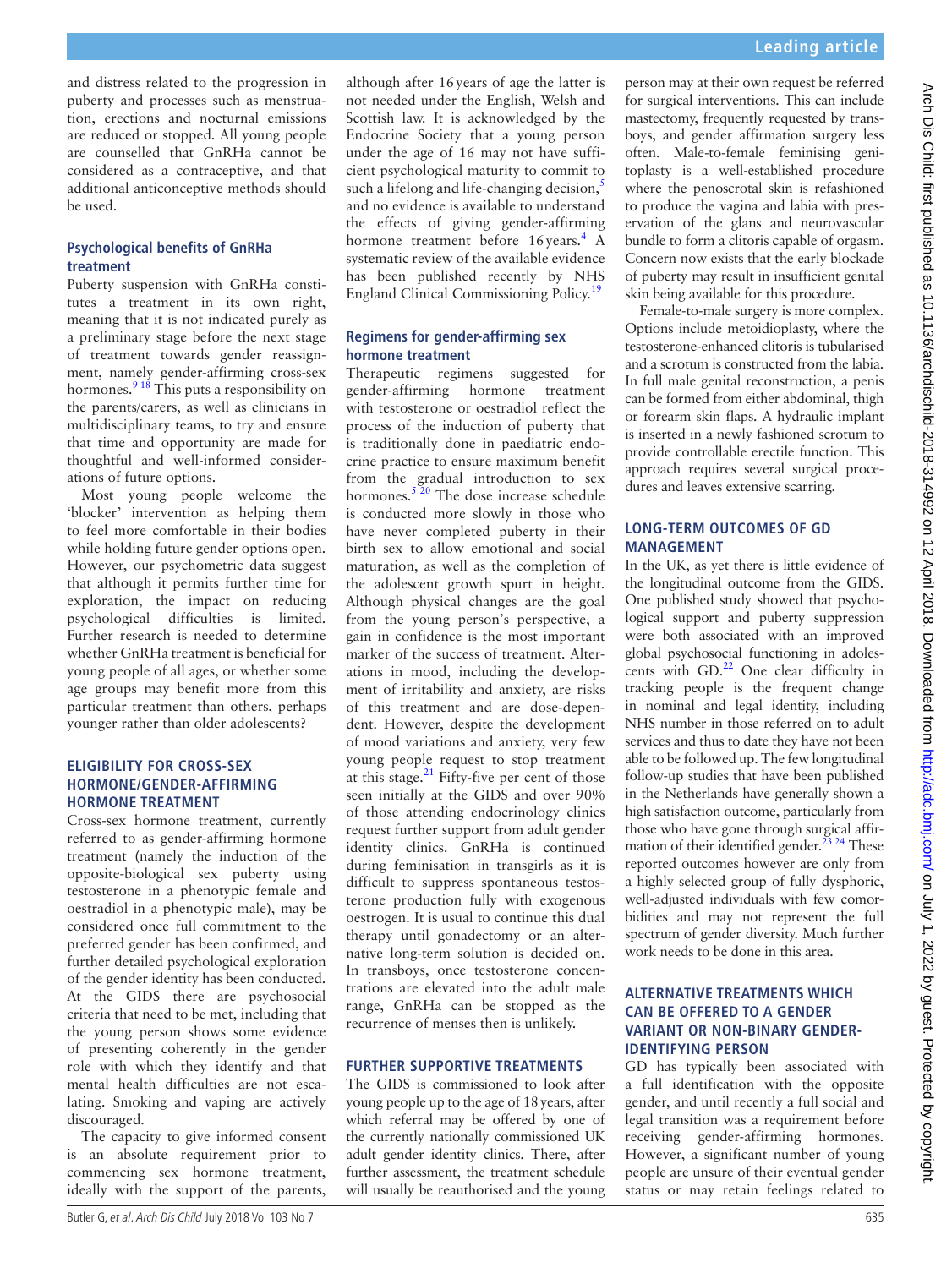and distress related to the progression in puberty and processes such as menstruation, erections and nocturnal emissions are reduced or stopped. All young people are counselled that GnRHa cannot be considered as a contraceptive, and that additional anticonceptive methods should be used.

## **Psychological benefits of GnRHa treatment**

Puberty suspension with GnRHa constitutes a treatment in its own right, meaning that it is not indicated purely as a preliminary stage before the next stage of treatment towards gender reassignment, namely gender-affirming cross-sex hormones.<sup>[9 18](#page-5-13)</sup> This puts a responsibility on the parents/carers, as well as clinicians in multidisciplinary teams, to try and ensure that time and opportunity are made for thoughtful and well-informed considerations of future options.

Most young people welcome the 'blocker' intervention as helping them to feel more comfortable in their bodies while holding future gender options open. However, our psychometric data suggest that although it permits further time for exploration, the impact on reducing psychological difficulties is limited. Further research is needed to determine whether GnRHa treatment is beneficial for young people of all ages, or whether some age groups may benefit more from this particular treatment than others, perhaps younger rather than older adolescents?

#### **Eligibility for cross-sex hormone/gender-affirming hormone treatment**

Cross-sex hormone treatment, currently referred to as gender-affirming hormone treatment (namely the induction of the opposite-biological sex puberty using testosterone in a phenotypic female and oestradiol in a phenotypic male), may be considered once full commitment to the preferred gender has been confirmed, and further detailed psychological exploration of the gender identity has been conducted. At the GIDS there are psychosocial criteria that need to be met, including that the young person shows some evidence of presenting coherently in the gender role with which they identify and that mental health difficulties are not escalating. Smoking and vaping are actively discouraged.

The capacity to give informed consent is an absolute requirement prior to commencing sex hormone treatment, ideally with the support of the parents, although after 16years of age the latter is not needed under the English, Welsh and Scottish law. It is acknowledged by the Endocrine Society that a young person under the age of 16 may not have sufficient psychological maturity to commit to such a lifelong and life-changing decision,<sup>5</sup> and no evidence is available to understand the effects of giving gender-affirming hormone treatment before 16 years.<sup>[4](#page-5-3)</sup> A systematic review of the available evidence has been published recently by NHS England Clinical Commissioning Policy.[19](#page-5-14)

### **Regimens for gender-affirming sex hormone treatment**

Therapeutic regimens suggested for<br>gender-affirming hormone treatment gender-affirming hormone with testosterone or oestradiol reflect the process of the induction of puberty that is traditionally done in paediatric endocrine practice to ensure maximum benefit from the gradual introduction to sex hormones. $5^{20}$  The dose increase schedule is conducted more slowly in those who have never completed puberty in their birth sex to allow emotional and social maturation, as well as the completion of the adolescent growth spurt in height. Although physical changes are the goal from the young person's perspective, a gain in confidence is the most important marker of the success of treatment. Alterations in mood, including the development of irritability and anxiety, are risks of this treatment and are dose-dependent. However, despite the development of mood variations and anxiety, very few young people request to stop treatment at this stage. $^{21}$  Fifty-five per cent of those seen initially at the GIDS and over 90% of those attending endocrinology clinics request further support from adult gender identity clinics. GnRHa is continued during feminisation in transgirls as it is difficult to suppress spontaneous testosterone production fully with exogenous oestrogen. It is usual to continue this dual therapy until gonadectomy or an alternative long-term solution is decided on. In transboys, once testosterone concentrations are elevated into the adult male range, GnRHa can be stopped as the recurrence of menses then is unlikely.

## **Further supportive treatments**

The GIDS is commissioned to look after young people up to the age of 18years, after which referral may be offered by one of the currently nationally commissioned UK adult gender identity clinics. There, after further assessment, the treatment schedule will usually be reauthorised and the young person may at their own request be referred for surgical interventions. This can include mastectomy, frequently requested by transboys, and gender affirmation surgery less often. Male-to-female feminising genitoplasty is a well-established procedure where the penoscrotal skin is refashioned to produce the vagina and labia with preservation of the glans and neurovascular bundle to form a clitoris capable of orgasm. Concern now exists that the early blockade of puberty may result in insufficient genital skin being available for this procedure.

Female-to-male surgery is more complex. Options include metoidioplasty, where the testosterone-enhanced clitoris is tubularised and a scrotum is constructed from the labia. In full male genital reconstruction, a penis can be formed from either abdominal, thigh or forearm skin flaps. A hydraulic implant is inserted in a newly fashioned scrotum to provide controllable erectile function. This approach requires several surgical procedures and leaves extensive scarring.

## **Long-term outcomes of GD management**

In the UK, as yet there is little evidence of the longitudinal outcome from the GIDS. One published study showed that psychological support and puberty suppression were both associated with an improved global psychosocial functioning in adolescents with  $GD<sup>22</sup>$  $GD<sup>22</sup>$  $GD<sup>22</sup>$  One clear difficulty in tracking people is the frequent change in nominal and legal identity, including NHS number in those referred on to adult services and thus to date they have not been able to be followed up. The few longitudinal follow-up studies that have been published in the Netherlands have generally shown a high satisfaction outcome, particularly from those who have gone through surgical affirmation of their identified gender.<sup>23</sup> <sup>24</sup> These reported outcomes however are only from a highly selected group of fully dysphoric, well-adjusted individuals with few comorbidities and may not represent the full spectrum of gender diversity. Much further work needs to be done in this area.

## **Alternative treatments which can be offered to a gender variant or non-binary genderidentifying person**

GD has typically been associated with a full identification with the opposite gender, and until recently a full social and legal transition was a requirement before receiving gender-affirming hormones. However, a significant number of young people are unsure of their eventual gender status or may retain feelings related to